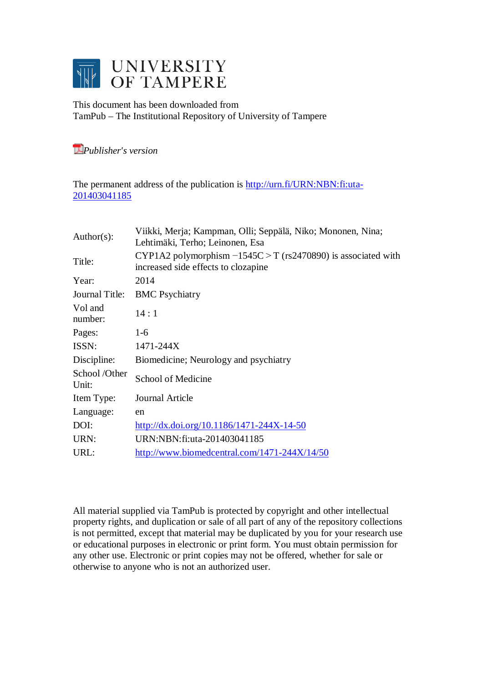

This document has been downloaded from TamPub – The Institutional Repository of University of Tampere

*[P](http://tampub.uta.fi/english/haekokoversio.php?id=1007)ublisher's version* 

The permanent address of the publication is [http://urn.fi/URN:NBN:fi:uta-](http://urn.fi/URN:NBN:fi:uta-201403041185)[201403041185](http://urn.fi/URN:NBN:fi:uta-201403041185)

| Author( $s$ ):        | Viikki, Merja; Kampman, Olli; Seppälä, Niko; Mononen, Nina;<br>Lehtimäki, Terho; Leinonen, Esa         |  |  |
|-----------------------|--------------------------------------------------------------------------------------------------------|--|--|
| Title:                | CYP1A2 polymorphism $-1545C > T$ (rs2470890) is associated with<br>increased side effects to clozapine |  |  |
| Year:                 | 2014                                                                                                   |  |  |
| Journal Title:        | <b>BMC</b> Psychiatry                                                                                  |  |  |
| Vol and<br>number:    | 14:1                                                                                                   |  |  |
| Pages:                | $1-6$                                                                                                  |  |  |
| ISSN:                 | 1471-244X                                                                                              |  |  |
| Discipline:           | Biomedicine; Neurology and psychiatry                                                                  |  |  |
| School/Other<br>Unit: | School of Medicine                                                                                     |  |  |
| Item Type:            | Journal Article                                                                                        |  |  |
| Language:             | en                                                                                                     |  |  |
| DOI:                  | $\frac{http://dx.doi.org/10.1186/1471-244X-14-50}{http://dx.doi.org/10.1186/1471-244X-14-50}$          |  |  |
| URN:                  | URN:NBN:fi:uta-201403041185                                                                            |  |  |
| URL:                  | http://www.biomedcentral.com/1471-244X/14/50                                                           |  |  |
|                       |                                                                                                        |  |  |

All material supplied via TamPub is protected by copyright and other intellectual property rights, and duplication or sale of all part of any of the repository collections is not permitted, except that material may be duplicated by you for your research use or educational purposes in electronic or print form. You must obtain permission for any other use. Electronic or print copies may not be offered, whether for sale or otherwise to anyone who is not an authorized user.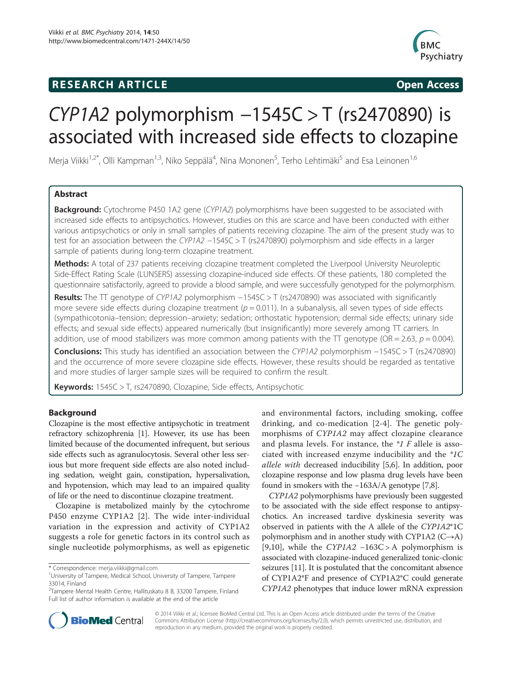## **RESEARCH ARTICLE Example 2014 CONSIDERING CONSIDERING CONSIDERING CONSIDERING CONSIDERING CONSIDERING CONSIDERING CONSIDERING CONSIDERING CONSIDERING CONSIDERING CONSIDERING CONSIDERING CONSIDERING CONSIDERING CONSIDE**



# CYP1A2 polymorphism −1545C > T (rs2470890) is associated with increased side effects to clozapine

Merja Viikki<sup>1,2\*</sup>, Olli Kampman<sup>1,3</sup>, Niko Seppälä<sup>4</sup>, Nina Mononen<sup>5</sup>, Terho Lehtimäki<sup>5</sup> and Esa Leinonen<sup>1,6</sup>

## Abstract

Background: Cytochrome P450 1A2 gene (CYP1A2) polymorphisms have been suggested to be associated with increased side effects to antipsychotics. However, studies on this are scarce and have been conducted with either various antipsychotics or only in small samples of patients receiving clozapine. The aim of the present study was to test for an association between the CYP1A2 −1545C > T (rs2470890) polymorphism and side effects in a larger sample of patients during long-term clozapine treatment.

Methods: A total of 237 patients receiving clozapine treatment completed the Liverpool University Neuroleptic Side-Effect Rating Scale (LUNSERS) assessing clozapine-induced side effects. Of these patients, 180 completed the questionnaire satisfactorily, agreed to provide a blood sample, and were successfully genotyped for the polymorphism.

Results: The TT genotype of CYP1A2 polymorphism −1545C > T (rs2470890) was associated with significantly more severe side effects during clozapine treatment ( $p = 0.011$ ). In a subanalysis, all seven types of side effects (sympathicotonia–tension; depression–anxiety; sedation; orthostatic hypotension; dermal side effects; urinary side effects; and sexual side effects) appeared numerically (but insignificantly) more severely among  $\Pi$  carriers. In addition, use of mood stabilizers was more common among patients with the TT genotype (OR = 2.63,  $p = 0.004$ ).

Conclusions: This study has identified an association between the CYP1A2 polymorphism −1545C > T (rs2470890) and the occurrence of more severe clozapine side effects. However, these results should be regarded as tentative and more studies of larger sample sizes will be required to confirm the result.

Keywords: 1545C > T, rs2470890, Clozapine, Side effects, Antipsychotic

## Background

Clozapine is the most effective antipsychotic in treatment refractory schizophrenia [[1\]](#page-5-0). However, its use has been limited because of the documented infrequent, but serious side effects such as agranulocytosis. Several other less serious but more frequent side effects are also noted including sedation, weight gain, constipation, hypersalivation, and hypotension, which may lead to an impaired quality of life or the need to discontinue clozapine treatment.

Clozapine is metabolized mainly by the cytochrome P450 enzyme CYP1A2 [[2\]](#page-5-0). The wide inter-individual variation in the expression and activity of CYP1A2 suggests a role for genetic factors in its control such as single nucleotide polymorphisms, as well as epigenetic

and environmental factors, including smoking, coffee drinking, and co-medication [[2-4](#page-5-0)]. The genetic polymorphisms of CYP1A2 may affect clozapine clearance and plasma levels. For instance, the  $*1$  F allele is associated with increased enzyme inducibility and the \*1C allele with decreased inducibility [\[5,6](#page-5-0)]. In addition, poor clozapine response and low plasma drug levels have been found in smokers with the −163A/A genotype [\[7,8](#page-5-0)].

CYP1A2 polymorphisms have previously been suggested to be associated with the side effect response to antipsychotics. An increased tardive dyskinesia severity was observed in patients with the A allele of the CYP1A2\*1C polymorphism and in another study with CYP1A2 (C→A) [[9](#page-5-0)[,10](#page-6-0)], while the  $CYPIA2 - 163C > A$  polymorphism is associated with clozapine-induced generalized tonic-clonic seizures [[11](#page-6-0)]. It is postulated that the concomitant absence of CYP1A2\*F and presence of CYP1A2\*C could generate CYP1A2 phenotypes that induce lower mRNA expression



© 2014 Viikki et al.; licensee BioMed Central Ltd. This is an Open Access article distributed under the terms of the Creative Commons Attribution License [\(http://creativecommons.org/licenses/by/2.0\)](http://creativecommons.org/licenses/by/2.0), which permits unrestricted use, distribution, and reproduction in any medium, provided the original work is properly credited.

<sup>\*</sup> Correspondence: [merja.viikki@gmail.com](mailto:merja.viikki@gmail.com) <sup>1</sup>

University of Tampere, Medical School, University of Tampere, Tampere 33014, Finland

<sup>&</sup>lt;sup>2</sup>Tampere Mental Health Centre, Hallituskatu 8 B, 33200 Tampere, Finland Full list of author information is available at the end of the article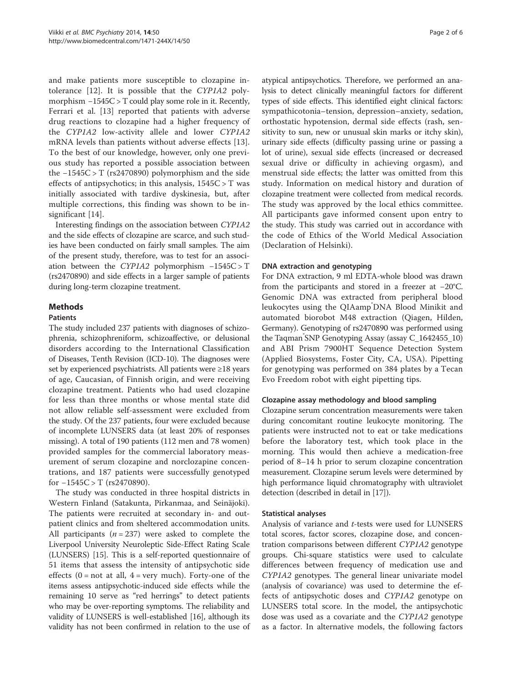and make patients more susceptible to clozapine intolerance [[12\]](#page-6-0). It is possible that the CYP1A2 polymorphism −1545C > T could play some role in it. Recently, Ferrari et al. [\[13](#page-6-0)] reported that patients with adverse drug reactions to clozapine had a higher frequency of the CYP1A2 low-activity allele and lower CYP1A2 mRNA levels than patients without adverse effects [\[13](#page-6-0)]. To the best of our knowledge, however, only one previous study has reported a possible association between the −1545C > T (rs2470890) polymorphism and the side effects of antipsychotics; in this analysis,  $1545C > T$  was initially associated with tardive dyskinesia, but, after multiple corrections, this finding was shown to be in-significant [[14\]](#page-6-0).

Interesting findings on the association between CYP1A2 and the side effects of clozapine are scarce, and such studies have been conducted on fairly small samples. The aim of the present study, therefore, was to test for an association between the CYP1A2 polymorphism −1545C > T (rs2470890) and side effects in a larger sample of patients during long-term clozapine treatment.

## **Methods**

#### Patients

The study included 237 patients with diagnoses of schizophrenia, schizophreniform, schizoaffective, or delusional disorders according to the International Classification of Diseases, Tenth Revision (ICD-10). The diagnoses were set by experienced psychiatrists. All patients were ≥18 years of age, Caucasian, of Finnish origin, and were receiving clozapine treatment. Patients who had used clozapine for less than three months or whose mental state did not allow reliable self-assessment were excluded from the study. Of the 237 patients, four were excluded because of incomplete LUNSERS data (at least 20% of responses missing). A total of 190 patients (112 men and 78 women) provided samples for the commercial laboratory measurement of serum clozapine and norclozapine concentrations, and 187 patients were successfully genotyped for  $-1545C > T$  (rs2470890).

The study was conducted in three hospital districts in Western Finland (Satakunta, Pirkanmaa, and Seinäjoki). The patients were recruited at secondary in- and outpatient clinics and from sheltered accommodation units. All participants ( $n = 237$ ) were asked to complete the Liverpool University Neuroleptic Side-Effect Rating Scale (LUNSERS) [\[15\]](#page-6-0). This is a self-reported questionnaire of 51 items that assess the intensity of antipsychotic side effects  $(0 = not at all, 4 = very much)$ . Forty-one of the items assess antipsychotic-induced side effects while the remaining 10 serve as "red herrings" to detect patients who may be over-reporting symptoms. The reliability and validity of LUNSERS is well-established [\[16\]](#page-6-0), although its validity has not been confirmed in relation to the use of

atypical antipsychotics. Therefore, we performed an analysis to detect clinically meaningful factors for different types of side effects. This identified eight clinical factors: sympathicotonia–tension, depression–anxiety, sedation, orthostatic hypotension, dermal side effects (rash, sensitivity to sun, new or unusual skin marks or itchy skin), urinary side effects (difficulty passing urine or passing a lot of urine), sexual side effects (increased or decreased sexual drive or difficulty in achieving orgasm), and menstrual side effects; the latter was omitted from this study. Information on medical history and duration of clozapine treatment were collected from medical records. The study was approved by the local ethics committee. All participants gave informed consent upon entry to the study. This study was carried out in accordance with the code of Ethics of the World Medical Association (Declaration of Helsinki).

#### DNA extraction and genotyping

For DNA extraction, 9 ml EDTA-whole blood was drawn from the participants and stored in a freezer at −20°C. Genomic DNA was extracted from peripheral blood leukocytes using the QIAamp<sup>®</sup>DNA Blood Minikit and automated biorobot M48 extraction (Qiagen, Hilden, Germany). Genotyping of rs2470890 was performed using the Taqman<sup>°</sup>SNP Genotyping Assay (assay C\_1642455\_10) and ABI Prism 7900HT Sequence Detection System (Applied Biosystems, Foster City, CA, USA). Pipetting for genotyping was performed on 384 plates by a Tecan Evo Freedom robot with eight pipetting tips.

## Clozapine assay methodology and blood sampling

Clozapine serum concentration measurements were taken during concomitant routine leukocyte monitoring. The patients were instructed not to eat or take medications before the laboratory test, which took place in the morning. This would then achieve a medication-free period of 8–14 h prior to serum clozapine concentration measurement. Clozapine serum levels were determined by high performance liquid chromatography with ultraviolet detection (described in detail in [[17](#page-6-0)]).

## Statistical analyses

Analysis of variance and t-tests were used for LUNSERS total scores, factor scores, clozapine dose, and concentration comparisons between different CYP1A2 genotype groups. Chi-square statistics were used to calculate differences between frequency of medication use and CYP1A2 genotypes. The general linear univariate model (analysis of covariance) was used to determine the effects of antipsychotic doses and CYP1A2 genotype on LUNSERS total score. In the model, the antipsychotic dose was used as a covariate and the CYP1A2 genotype as a factor. In alternative models, the following factors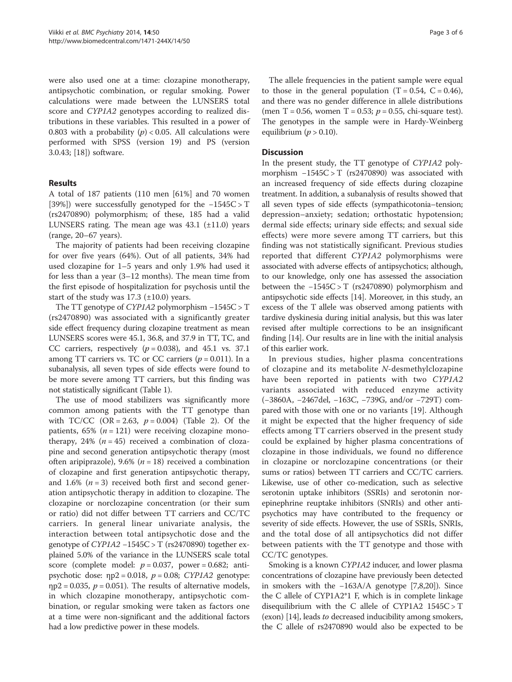were also used one at a time: clozapine monotherapy, antipsychotic combination, or regular smoking. Power calculations were made between the LUNSERS total score and CYP1A2 genotypes according to realized distributions in these variables. This resulted in a power of 0.803 with a probability  $(p) < 0.05$ . All calculations were performed with SPSS (version 19) and PS (version 3.0.43; [[18\]](#page-6-0)) software.

## Results

A total of 187 patients (110 men [61%] and 70 women [39%]) were successfully genotyped for the −1545C > T (rs2470890) polymorphism; of these, 185 had a valid LUNSERS rating. The mean age was  $43.1$  ( $\pm$ 11.0) years (range, 20–67 years).

The majority of patients had been receiving clozapine for over five years (64%). Out of all patients, 34% had used clozapine for 1–5 years and only 1.9% had used it for less than a year (3–12 months). The mean time from the first episode of hospitalization for psychosis until the start of the study was  $17.3$  ( $\pm 10.0$ ) years.

The TT genotype of CYP1A2 polymorphism −1545C > T (rs2470890) was associated with a significantly greater side effect frequency during clozapine treatment as mean LUNSERS scores were 45.1, 36.8, and 37.9 in TT, TC, and CC carriers, respectively ( $p = 0.038$ ), and 45.1 vs. 37.1 among TT carriers vs. TC or CC carriers  $(p = 0.011)$ . In a subanalysis, all seven types of side effects were found to be more severe among TT carriers, but this finding was not statistically significant (Table [1](#page-4-0)).

The use of mood stabilizers was significantly more common among patients with the TT genotype than with TC/CC (OR = 2.63,  $p = 0.004$ ) (Table [2\)](#page-4-0). Of the patients,  $65\%$  ( $n = 121$ ) were receiving clozapine monotherapy, 24% ( $n = 45$ ) received a combination of clozapine and second generation antipsychotic therapy (most often aripiprazole), 9.6% ( $n = 18$ ) received a combination of clozapine and first generation antipsychotic therapy, and 1.6%  $(n=3)$  received both first and second generation antipsychotic therapy in addition to clozapine. The clozapine or norclozapine concentration (or their sum or ratio) did not differ between TT carriers and CC/TC carriers. In general linear univariate analysis, the interaction between total antipsychotic dose and the genotype of CYP1A2 −1545C > T (rs2470890) together explained 5.0% of the variance in the LUNSERS scale total score (complete model:  $p = 0.037$ , power = 0.682; antipsychotic dose:  $np2 = 0.018$ ,  $p = 0.08$ ; CYP1A2 genotype:  $np2 = 0.035$ ,  $p = 0.051$ ). The results of alternative models, in which clozapine monotherapy, antipsychotic combination, or regular smoking were taken as factors one at a time were non-significant and the additional factors had a low predictive power in these models.

The allele frequencies in the patient sample were equal to those in the general population  $(T = 0.54, C = 0.46)$ , and there was no gender difference in allele distributions (men T = 0.56, women T = 0.53;  $p = 0.55$ , chi-square test). The genotypes in the sample were in Hardy-Weinberg equilibrium ( $p > 0.10$ ).

## **Discussion**

In the present study, the TT genotype of CYP1A2 polymorphism −1545C > T (rs2470890) was associated with an increased frequency of side effects during clozapine treatment. In addition, a subanalysis of results showed that all seven types of side effects (sympathicotonia–tension; depression–anxiety; sedation; orthostatic hypotension; dermal side effects; urinary side effects; and sexual side effects) were more severe among TT carriers, but this finding was not statistically significant. Previous studies reported that different CYP1A2 polymorphisms were associated with adverse effects of antipsychotics; although, to our knowledge, only one has assessed the association between the −1545C > T (rs2470890) polymorphism and antipsychotic side effects [\[14](#page-6-0)]. Moreover, in this study, an excess of the T allele was observed among patients with tardive dyskinesia during initial analysis, but this was later revised after multiple corrections to be an insignificant finding [[14](#page-6-0)]. Our results are in line with the initial analysis of this earlier work.

In previous studies, higher plasma concentrations of clozapine and its metabolite N-desmethylclozapine have been reported in patients with two CYP1A2 variants associated with reduced enzyme activity (−3860A, −2467del, −163C, −739G, and/or −729T) compared with those with one or no variants [[19\]](#page-6-0). Although it might be expected that the higher frequency of side effects among TT carriers observed in the present study could be explained by higher plasma concentrations of clozapine in those individuals, we found no difference in clozapine or norclozapine concentrations (or their sums or ratios) between TT carriers and CC/TC carriers. Likewise, use of other co-medication, such as selective serotonin uptake inhibitors (SSRIs) and serotonin norepinephrine reuptake inhibitors (SNRIs) and other antipsychotics may have contributed to the frequency or severity of side effects. However, the use of SSRIs, SNRIs, and the total dose of all antipsychotics did not differ between patients with the TT genotype and those with CC/TC genotypes.

Smoking is a known CYP1A2 inducer, and lower plasma concentrations of clozapine have previously been detected in smokers with the −163A/A genotype [[7,8](#page-5-0),[20](#page-6-0)]). Since the C allele of CYP1A2\*1 F, which is in complete linkage disequilibrium with the C allele of CYP1A2  $1545C > T$ (exon) [[14](#page-6-0)], leads to decreased inducibility among smokers, the C allele of rs2470890 would also be expected to be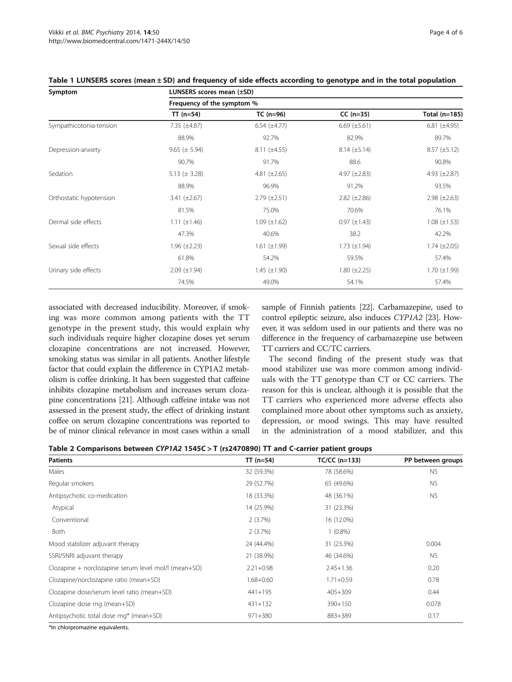| Symptom                 | LUNSERS scores mean (±SD)  |                       |                     |                       |  |  |
|-------------------------|----------------------------|-----------------------|---------------------|-----------------------|--|--|
|                         | Frequency of the symptom % |                       |                     |                       |  |  |
|                         | $TT (n=54)$                | $TC (n=96)$           | $CC (n=35)$         | Total (n=185)         |  |  |
| Sympathicotonia-tension | $7.35 \ (\pm 4.87)$        | $6.54$ ( $\pm 4.77$ ) | $6.69 \ (\pm 5.61)$ | $6.81$ ( $\pm 4.95$ ) |  |  |
|                         | 88.9%                      | 92.7%                 | 82.9%               | 89.7%                 |  |  |
| Depression-anxiety      | $9.65 (\pm 5.94)$          | $8.11 (\pm 4.55)$     | $8.14 \ (\pm 5.14)$ | $8.57 \ (\pm 5.12)$   |  |  |
|                         | 90.7%                      | 91.7%                 | 88.6                | 90.8%                 |  |  |
| Sedation                | 5.13 $(\pm 3.28)$          | 4.81 $(\pm 2.65)$     | 4.97 $(\pm 2.83)$   | 4.93 $(\pm 2.87)$     |  |  |
|                         | 88.9%                      | 96.9%                 | 91.2%               | 93.5%                 |  |  |
| Orthostatic hypotension | 3.41 $(\pm 2.67)$          | $2.79 \ (\pm 2.51)$   | $2.82 \ (\pm 2.86)$ | $2.98 (\pm 2.63)$     |  |  |
|                         | 81.5%                      | 75.0%                 | 70.6%               | 76.1%                 |  |  |
| Dermal side effects     | 1.11 $(\pm 1.46)$          | $1.09 \ (\pm 1.62)$   | $0.97 (\pm 1.43)$   | $1.08 (\pm 1.53)$     |  |  |
|                         | 47.3%                      | 40.6%                 | 38.2                | 42.2%                 |  |  |
| Sexual side effects     | $1.96 (\pm 2.23)$          | $1.61 (\pm 1.99)$     | 1.73 $(\pm 1.94)$   | $1.74 \ (\pm 2.05)$   |  |  |
|                         | 61.8%                      | 54.2%                 | 59.5%               | 57.4%                 |  |  |
| Urinary side effects    | $2.09 \ (\pm 1.94)$        | $1.45 \ (\pm 1.90)$   | $1.80 (\pm 2.25)$   | $1.70 \ (\pm 1.99)$   |  |  |
|                         | 74.5%                      | 49.0%                 | 54.1%               | 57.4%                 |  |  |

## <span id="page-4-0"></span>Table 1 LUNSERS scores (mean ± SD) and frequency of side effects according to genotype and in the total population

associated with decreased inducibility. Moreover, if smoking was more common among patients with the TT genotype in the present study, this would explain why such individuals require higher clozapine doses yet serum clozapine concentrations are not increased. However, smoking status was similar in all patients. Another lifestyle factor that could explain the difference in CYP1A2 metabolism is coffee drinking. It has been suggested that caffeine inhibits clozapine metabolism and increases serum clozapine concentrations [\[21\]](#page-6-0). Although caffeine intake was not assessed in the present study, the effect of drinking instant coffee on serum clozapine concentrations was reported to be of minor clinical relevance in most cases within a small sample of Finnish patients [\[22\]](#page-6-0). Carbamazepine, used to control epileptic seizure, also induces CYP1A2 [\[23](#page-6-0)]. However, it was seldom used in our patients and there was no difference in the frequency of carbamazepine use between TT carriers and CC/TC carriers.

The second finding of the present study was that mood stabilizer use was more common among individuals with the TT genotype than CT or CC carriers. The reason for this is unclear, although it is possible that the TT carriers who experienced more adverse effects also complained more about other symptoms such as anxiety, depression, or mood swings. This may have resulted in the administration of a mood stabilizer, and this

|  |  | Table 2 Comparisons between CYP1A2 1545C > T (rs2470890) TT and C-carrier patient groups |
|--|--|------------------------------------------------------------------------------------------|
|--|--|------------------------------------------------------------------------------------------|

| <b>Patients</b>                                      | $TT (n=54)$   | TC/CC (n=133) | PP between groups |
|------------------------------------------------------|---------------|---------------|-------------------|
| Males                                                | 32 (59.3%)    | 78 (58.6%)    | <b>NS</b>         |
| Regular smokers                                      | 29 (52.7%)    | 65 (49.6%)    | NS.               |
| Antipsychotic co-medication                          | 18 (33.3%)    | 48 (36.1%)    | NS.               |
| Atypical                                             | 14 (25.9%)    | 31 (23.3%)    |                   |
| Conventional                                         | 2(3.7%)       | 16 (12.0%)    |                   |
| Both                                                 | 2(3.7%)       | $1(0.8\%)$    |                   |
| Mood stabilizer adjuvant therapy                     | 24 (44.4%)    | 31 (23.3%)    | 0.004             |
| SSRI/SNRI adjuvant therapy                           | 21 (38.9%)    | 46 (34.6%)    | NS.               |
| Clozapine + norclozapine serum level mol/l (mean+SD) | $2.21 + 0.98$ | $2.45 + 1.36$ | 0.20              |
| Clozapine/norclozapine ratio (mean+SD)               | $1.68 + 0.60$ | $1.71 + 0.59$ | 0.78              |
| Clozapine dose/serum level ratio (mean+SD)           | $441 + 195$   | $405 + 309$   | 0.44              |
| Clozapine dose mg (mean+SD)                          | $431 + 132$   | $390 + 150$   | 0.078             |
| Antipsychotic total dose mg* (mean+SD)               | $971 + 380$   | 883+389       | 0.17              |

\*In chlorpromazine equivalents.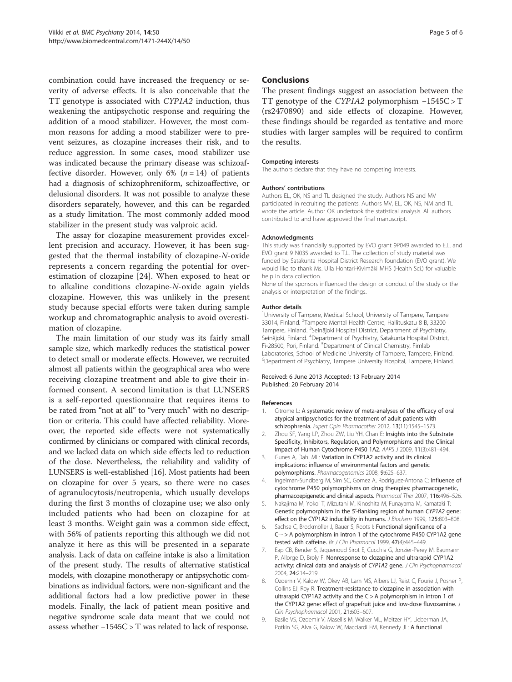<span id="page-5-0"></span>combination could have increased the frequency or severity of adverse effects. It is also conceivable that the TT genotype is associated with CYP1A2 induction, thus weakening the antipsychotic response and requiring the addition of a mood stabilizer. However, the most common reasons for adding a mood stabilizer were to prevent seizures, as clozapine increases their risk, and to reduce aggression. In some cases, mood stabilizer use was indicated because the primary disease was schizoaffective disorder. However, only 6%  $(n = 14)$  of patients had a diagnosis of schizophreniform, schizoaffective, or delusional disorders. It was not possible to analyze these disorders separately, however, and this can be regarded as a study limitation. The most commonly added mood stabilizer in the present study was valproic acid.

The assay for clozapine measurement provides excellent precision and accuracy. However, it has been suggested that the thermal instability of clozapine-N-oxide represents a concern regarding the potential for overestimation of clozapine [\[24](#page-6-0)]. When exposed to heat or to alkaline conditions clozapine-N-oxide again yields clozapine. However, this was unlikely in the present study because special efforts were taken during sample workup and chromatographic analysis to avoid overestimation of clozapine.

The main limitation of our study was its fairly small sample size, which markedly reduces the statistical power to detect small or moderate effects. However, we recruited almost all patients within the geographical area who were receiving clozapine treatment and able to give their informed consent. A second limitation is that LUNSERS is a self-reported questionnaire that requires items to be rated from "not at all" to "very much" with no description or criteria. This could have affected reliability. Moreover, the reported side effects were not systematically confirmed by clinicians or compared with clinical records, and we lacked data on which side effects led to reduction of the dose. Nevertheless, the reliability and validity of LUNSERS is well-established [[16](#page-6-0)]. Most patients had been on clozapine for over 5 years, so there were no cases of agranulocytosis/neutropenia, which usually develops during the first 3 months of clozapine use; we also only included patients who had been on clozapine for at least 3 months. Weight gain was a common side effect, with 56% of patients reporting this although we did not analyze it here as this will be presented in a separate analysis. Lack of data on caffeine intake is also a limitation of the present study. The results of alternative statistical models, with clozapine monotherapy or antipsychotic combinations as individual factors, were non-significant and the additional factors had a low predictive power in these models. Finally, the lack of patient mean positive and negative syndrome scale data meant that we could not assess whether −1545C > T was related to lack of response.

#### Conclusions

The present findings suggest an association between the TT genotype of the CYP1A2 polymorphism −1545C > T (rs2470890) and side effects of clozapine. However, these findings should be regarded as tentative and more studies with larger samples will be required to confirm the results.

#### Competing interests

The authors declare that they have no competing interests.

#### Authors' contributions

Authors EL, OK, NS and TL designed the study. Authors NS and MV participated in recruiting the patients. Authors MV, EL, OK, NS, NM and TL wrote the article. Author OK undertook the statistical analysis. All authors contributed to and have approved the final manuscript.

#### Acknowledgments

This study was financially supported by EVO grant 9P049 awarded to E.L. and EVO grant 9 N035 awarded to T.L. The collection of study material was funded by Satakunta Hospital District Research foundation (EVO grant). We would like to thank Ms. Ulla Hohtari-Kivimäki MHS (Health Sci.) for valuable help in data collection.

None of the sponsors influenced the design or conduct of the study or the analysis or interpretation of the findings.

#### Author details

<sup>1</sup> University of Tampere, Medical School, University of Tampere, Tampere 33014, Finland. <sup>2</sup>Tampere Mental Health Centre, Hallituskatu 8 B, 33200 Tampere, Finland. <sup>3</sup>Seinäjoki Hospital District, Department of Psychiatry, Seinäjoki, Finland. <sup>4</sup>Department of Psychiatry, Satakunta Hospital District, Fi-28500, Pori, Finland. <sup>5</sup>Department of Clinical Chemistry, Fimlab Laboratories, School of Medicine University of Tampere, Tampere, Finland. 6 Department of Psychiatry, Tampere University Hospital, Tampere, Finland.

#### Received: 6 June 2013 Accepted: 13 February 2014 Published: 20 February 2014

#### References

- 1. Citrome L: A systematic review of meta-analyses of the efficacy of oral atypical antipsychotics for the treatment of adult patients with schizophrenia. Expert Opin Pharmacother 2012, 13(11):1545–1573.
- 2. Zhou SF, Yang LP, Zhou ZW, Liu YH, Chan E: Insights into the Substrate Specificity, Inhibitors, Regulation, and Polymorphisms and the Clinical Impact of Human Cytochrome P450 1A2. AAPS J 2009, 11(3):481–494.
- 3. Gunes A, Dahl ML: Variation in CYP1A2 activity and its clinical implications: influence of environmental factors and genetic polymorphisms. Pharmacogenomics 2008, 9:625–637.
- 4. Ingelman-Sundberg M, Sim SC, Gomez A, Rodriguez-Antona C: Influence of cytochrome P450 polymorphisms on drug therapies: pharmacogenetic, pharmacoepigenetic and clinical aspects. Pharmacol Ther 2007, 116:496–526.
- 5. Nakajima M, Yokoi T, Mizutani M, Kinoshita M, Funayama M, Kamataki T: Genetic polymorphism in the 5′-flanking region of human CYP1A2 gene: effect on the CYP1A2 inducibility in humans. J Biochem 1999, 125:803-808.
- 6. Sachse C, Brockmöller J, Bauer S, Roots I: Functional significance of a C–- > A polymorphism in intron 1 of the cytochrome P450 CYP1A2 gene tested with caffeine. Br J Clin Pharmacol 1999, 47(4):445-449.
- 7. Eap CB, Bender S, Jaquenoud Sirot E, Cucchia G, Jonzier-Perey M, Baumann P, Allorge D, Broly F: Nonresponse to clozapine and ultrarapid CYP1A2 activity: clinical data and analysis of CYP1A2 gene. J Clin Psychopharmacol 2004, 24:214–219.
- 8. Ozdemir V, Kalow W, Okey AB, Lam MS, Albers LJ, Reist C, Fourie J, Posner P, Collins EJ, Roy R: Treatment-resistance to clozapine in association with ultrarapid CYP1A2 activity and the C > A polymorphism in intron 1 of the CYP1A2 gene: effect of grapefruit juice and low-dose fluvoxamine. J Clin Psychopharmacol 2001, 21:603–607.
- 9. Basile VS, Ozdemir V, Masellis M, Walker ML, Meltzer HY, Lieberman JA, Potkin SG, Alva G, Kalow W, Macciardi FM, Kennedy JL: A functional